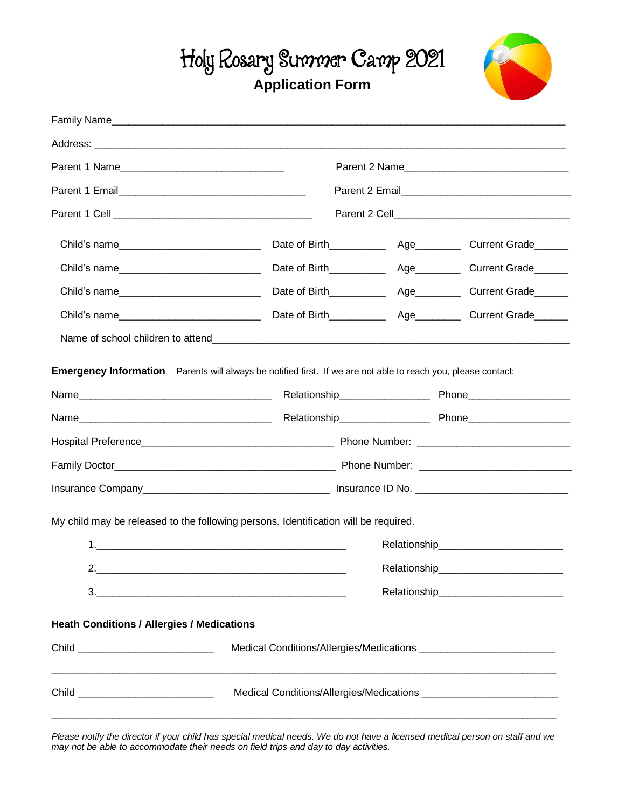## Holy Rosary Summer Camp 2021 **Application Form**



| Parent 1 Name                                     |                                                                                                               | Parent 2 Name |                                        |  |  |  |  |  |  |
|---------------------------------------------------|---------------------------------------------------------------------------------------------------------------|---------------|----------------------------------------|--|--|--|--|--|--|
|                                                   |                                                                                                               |               |                                        |  |  |  |  |  |  |
|                                                   |                                                                                                               |               |                                        |  |  |  |  |  |  |
| Child's name________________________________      | Date of Birth___________                                                                                      |               | Age_____________ Current Grade________ |  |  |  |  |  |  |
|                                                   | Date of Birth___________                                                                                      |               | Age_____________ Current Grade________ |  |  |  |  |  |  |
|                                                   |                                                                                                               |               |                                        |  |  |  |  |  |  |
| Child's name                                      |                                                                                                               |               |                                        |  |  |  |  |  |  |
|                                                   |                                                                                                               |               |                                        |  |  |  |  |  |  |
|                                                   | Emergency Information Parents will always be notified first. If we are not able to reach you, please contact: |               |                                        |  |  |  |  |  |  |
|                                                   |                                                                                                               |               |                                        |  |  |  |  |  |  |
|                                                   |                                                                                                               |               |                                        |  |  |  |  |  |  |
|                                                   |                                                                                                               |               |                                        |  |  |  |  |  |  |
|                                                   |                                                                                                               |               |                                        |  |  |  |  |  |  |
|                                                   |                                                                                                               |               |                                        |  |  |  |  |  |  |
|                                                   | My child may be released to the following persons. Identification will be required.                           |               |                                        |  |  |  |  |  |  |
|                                                   |                                                                                                               |               |                                        |  |  |  |  |  |  |
| 2.                                                |                                                                                                               | Relationship_ |                                        |  |  |  |  |  |  |
|                                                   |                                                                                                               |               |                                        |  |  |  |  |  |  |
|                                                   |                                                                                                               |               |                                        |  |  |  |  |  |  |
| <b>Heath Conditions / Allergies / Medications</b> |                                                                                                               |               |                                        |  |  |  |  |  |  |
|                                                   |                                                                                                               |               |                                        |  |  |  |  |  |  |
|                                                   |                                                                                                               |               |                                        |  |  |  |  |  |  |
|                                                   |                                                                                                               |               |                                        |  |  |  |  |  |  |

*Please notify the director if your child has special medical needs. We do not have a licensed medical person on staff and we may not be able to accommodate their needs on field trips and day to day activities.*